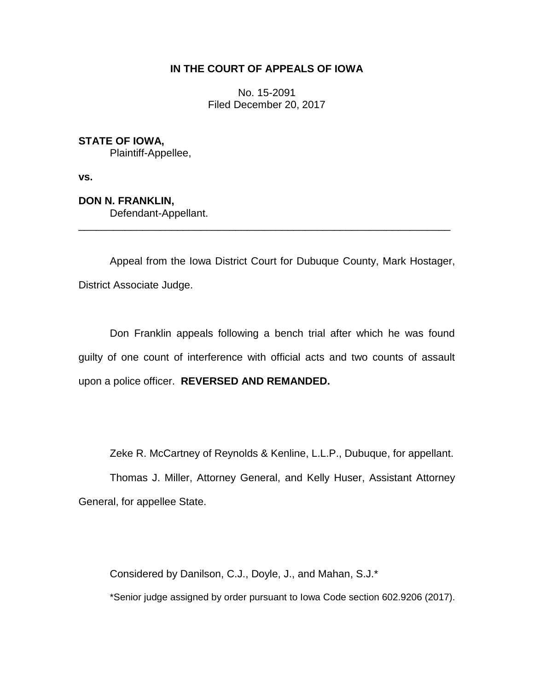# **IN THE COURT OF APPEALS OF IOWA**

No. 15-2091 Filed December 20, 2017

**STATE OF IOWA,**

Plaintiff-Appellee,

**vs.**

**DON N. FRANKLIN,** Defendant-Appellant.

Appeal from the Iowa District Court for Dubuque County, Mark Hostager, District Associate Judge.

\_\_\_\_\_\_\_\_\_\_\_\_\_\_\_\_\_\_\_\_\_\_\_\_\_\_\_\_\_\_\_\_\_\_\_\_\_\_\_\_\_\_\_\_\_\_\_\_\_\_\_\_\_\_\_\_\_\_\_\_\_\_\_\_

Don Franklin appeals following a bench trial after which he was found guilty of one count of interference with official acts and two counts of assault upon a police officer. **REVERSED AND REMANDED.**

Zeke R. McCartney of Reynolds & Kenline, L.L.P., Dubuque, for appellant.

Thomas J. Miller, Attorney General, and Kelly Huser, Assistant Attorney General, for appellee State.

Considered by Danilson, C.J., Doyle, J., and Mahan, S.J.\*

\*Senior judge assigned by order pursuant to Iowa Code section 602.9206 (2017).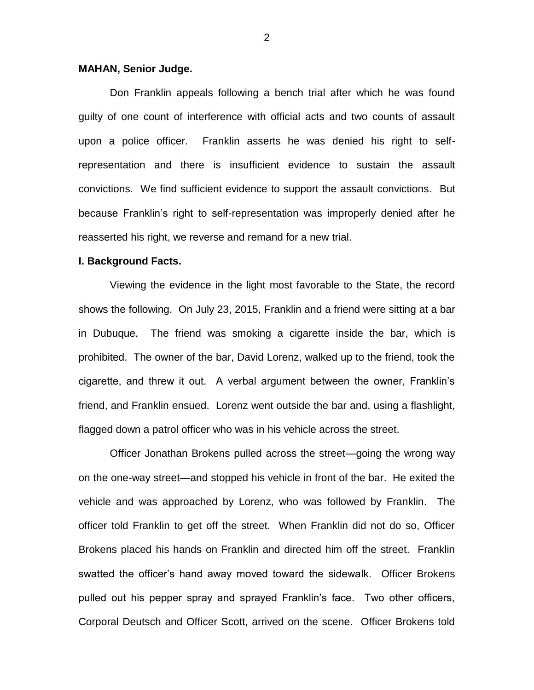## **MAHAN, Senior Judge.**

Don Franklin appeals following a bench trial after which he was found guilty of one count of interference with official acts and two counts of assault upon a police officer. Franklin asserts he was denied his right to selfrepresentation and there is insufficient evidence to sustain the assault convictions. We find sufficient evidence to support the assault convictions. But because Franklin's right to self-representation was improperly denied after he reasserted his right, we reverse and remand for a new trial.

### **I. Background Facts.**

Viewing the evidence in the light most favorable to the State, the record shows the following. On July 23, 2015, Franklin and a friend were sitting at a bar in Dubuque. The friend was smoking a cigarette inside the bar, which is prohibited. The owner of the bar, David Lorenz, walked up to the friend, took the cigarette, and threw it out. A verbal argument between the owner, Franklin's friend, and Franklin ensued. Lorenz went outside the bar and, using a flashlight, flagged down a patrol officer who was in his vehicle across the street.

Officer Jonathan Brokens pulled across the street—going the wrong way on the one-way street—and stopped his vehicle in front of the bar. He exited the vehicle and was approached by Lorenz, who was followed by Franklin. The officer told Franklin to get off the street. When Franklin did not do so, Officer Brokens placed his hands on Franklin and directed him off the street. Franklin swatted the officer's hand away moved toward the sidewalk. Officer Brokens pulled out his pepper spray and sprayed Franklin's face. Two other officers, Corporal Deutsch and Officer Scott, arrived on the scene. Officer Brokens told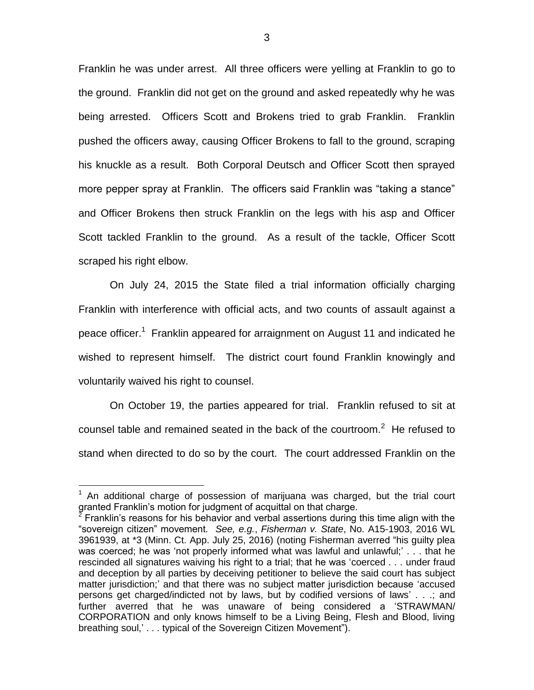Franklin he was under arrest. All three officers were yelling at Franklin to go to the ground. Franklin did not get on the ground and asked repeatedly why he was being arrested. Officers Scott and Brokens tried to grab Franklin. Franklin pushed the officers away, causing Officer Brokens to fall to the ground, scraping his knuckle as a result. Both Corporal Deutsch and Officer Scott then sprayed more pepper spray at Franklin. The officers said Franklin was "taking a stance" and Officer Brokens then struck Franklin on the legs with his asp and Officer Scott tackled Franklin to the ground. As a result of the tackle, Officer Scott scraped his right elbow.

On July 24, 2015 the State filed a trial information officially charging Franklin with interference with official acts, and two counts of assault against a peace officer.<sup>1</sup> Franklin appeared for arraignment on August 11 and indicated he wished to represent himself. The district court found Franklin knowingly and voluntarily waived his right to counsel.

On October 19, the parties appeared for trial. Franklin refused to sit at counsel table and remained seated in the back of the courtroom.<sup>2</sup> He refused to stand when directed to do so by the court. The court addressed Franklin on the

 $\overline{a}$ 

<sup>1</sup> An additional charge of possession of marijuana was charged, but the trial court granted Franklin's motion for judgment of acquittal on that charge.

<sup>2</sup> Franklin's reasons for his behavior and verbal assertions during this time align with the "sovereign citizen" movement. *See, e.g.*, *Fisherman v. State*, No. A15-1903, 2016 WL 3961939, at \*3 (Minn. Ct. App. July 25, 2016) (noting Fisherman averred "his guilty plea was coerced; he was 'not properly informed what was lawful and unlawful;' . . . that he rescinded all signatures waiving his right to a trial; that he was 'coerced . . . under fraud and deception by all parties by deceiving petitioner to believe the said court has subject matter jurisdiction;' and that there was no subject matter jurisdiction because 'accused persons get charged/indicted not by laws, but by codified versions of laws' . . .; and further averred that he was unaware of being considered a 'STRAWMAN/ CORPORATION and only knows himself to be a Living Being, Flesh and Blood, living breathing soul,' . . . typical of the Sovereign Citizen Movement").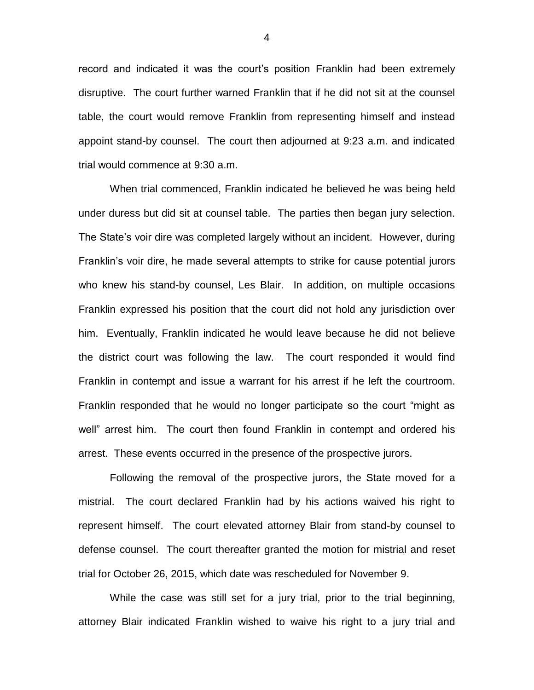record and indicated it was the court's position Franklin had been extremely disruptive. The court further warned Franklin that if he did not sit at the counsel table, the court would remove Franklin from representing himself and instead appoint stand-by counsel. The court then adjourned at 9:23 a.m. and indicated trial would commence at 9:30 a.m.

When trial commenced, Franklin indicated he believed he was being held under duress but did sit at counsel table. The parties then began jury selection. The State's voir dire was completed largely without an incident. However, during Franklin's voir dire, he made several attempts to strike for cause potential jurors who knew his stand-by counsel, Les Blair. In addition, on multiple occasions Franklin expressed his position that the court did not hold any jurisdiction over him. Eventually, Franklin indicated he would leave because he did not believe the district court was following the law. The court responded it would find Franklin in contempt and issue a warrant for his arrest if he left the courtroom. Franklin responded that he would no longer participate so the court "might as well" arrest him. The court then found Franklin in contempt and ordered his arrest. These events occurred in the presence of the prospective jurors.

Following the removal of the prospective jurors, the State moved for a mistrial. The court declared Franklin had by his actions waived his right to represent himself. The court elevated attorney Blair from stand-by counsel to defense counsel. The court thereafter granted the motion for mistrial and reset trial for October 26, 2015, which date was rescheduled for November 9.

While the case was still set for a jury trial, prior to the trial beginning, attorney Blair indicated Franklin wished to waive his right to a jury trial and

4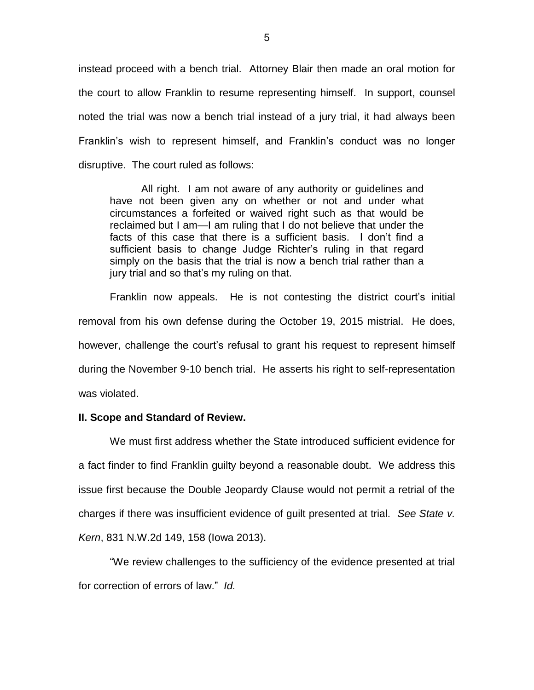instead proceed with a bench trial. Attorney Blair then made an oral motion for the court to allow Franklin to resume representing himself. In support, counsel noted the trial was now a bench trial instead of a jury trial, it had always been Franklin's wish to represent himself, and Franklin's conduct was no longer disruptive. The court ruled as follows:

All right. I am not aware of any authority or guidelines and have not been given any on whether or not and under what circumstances a forfeited or waived right such as that would be reclaimed but I am—I am ruling that I do not believe that under the facts of this case that there is a sufficient basis. I don't find a sufficient basis to change Judge Richter's ruling in that regard simply on the basis that the trial is now a bench trial rather than a jury trial and so that's my ruling on that.

Franklin now appeals. He is not contesting the district court's initial removal from his own defense during the October 19, 2015 mistrial. He does, however, challenge the court's refusal to grant his request to represent himself during the November 9-10 bench trial. He asserts his right to self-representation was violated.

### **II. Scope and Standard of Review.**

We must first address whether the State introduced sufficient evidence for a fact finder to find Franklin guilty beyond a reasonable doubt. We address this issue first because the Double Jeopardy Clause would not permit a retrial of the charges if there was insufficient evidence of guilt presented at trial. *See State v. Kern*, 831 N.W.2d 149, 158 (Iowa 2013).

"We review challenges to the sufficiency of the evidence presented at trial for correction of errors of law." *Id.*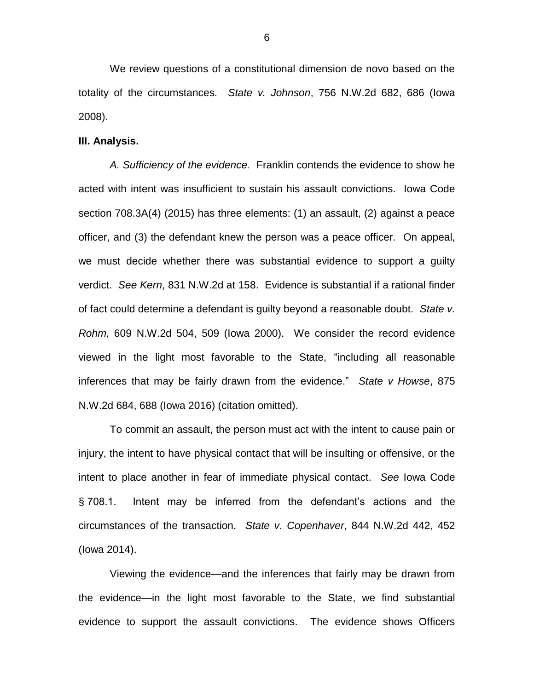We review questions of a constitutional dimension de novo based on the totality of the circumstances. *State v. Johnson*, 756 N.W.2d 682, 686 (Iowa 2008).

## **III. Analysis.**

*A. Sufficiency of the evidence.* Franklin contends the evidence to show he acted with intent was insufficient to sustain his assault convictions. Iowa Code section 708.3A(4) (2015) has three elements: (1) an assault, (2) against a peace officer, and (3) the defendant knew the person was a peace officer. On appeal, we must decide whether there was substantial evidence to support a guilty verdict. *See Kern*, 831 N.W.2d at 158. Evidence is substantial if a rational finder of fact could determine a defendant is guilty beyond a reasonable doubt. *State v. Rohm*, 609 N.W.2d 504, 509 (Iowa 2000). We consider the record evidence viewed in the light most favorable to the State, "including all reasonable inferences that may be fairly drawn from the evidence." *State v Howse*, 875 N.W.2d 684, 688 (Iowa 2016) (citation omitted).

To commit an assault, the person must act with the intent to cause pain or injury, the intent to have physical contact that will be insulting or offensive, or the intent to place another in fear of immediate physical contact. *See* Iowa Code § 708.1. Intent may be inferred from the defendant's actions and the circumstances of the transaction. *State v. Copenhaver*, 844 N.W.2d 442, 452 (Iowa 2014).

Viewing the evidence—and the inferences that fairly may be drawn from the evidence—in the light most favorable to the State, we find substantial evidence to support the assault convictions. The evidence shows Officers

6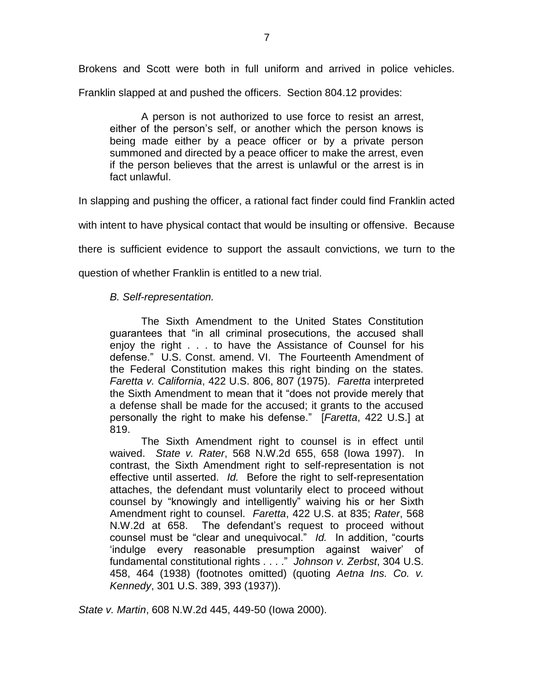Brokens and Scott were both in full uniform and arrived in police vehicles.

Franklin slapped at and pushed the officers. Section 804.12 provides:

A person is not authorized to use force to resist an arrest, either of the person's self, or another which the person knows is being made either by a peace officer or by a private person summoned and directed by a peace officer to make the arrest, even if the person believes that the arrest is unlawful or the arrest is in fact unlawful.

In slapping and pushing the officer, a rational fact finder could find Franklin acted

with intent to have physical contact that would be insulting or offensive. Because

there is sufficient evidence to support the assault convictions, we turn to the

question of whether Franklin is entitled to a new trial.

# *B. Self-representation.*

The Sixth Amendment to the United States Constitution guarantees that "in all criminal prosecutions, the accused shall enjoy the right . . . to have the Assistance of Counsel for his defense." U.S. Const. amend. VI. The Fourteenth Amendment of the Federal Constitution makes this right binding on the states. *Faretta v. California*, 422 U.S. 806, 807 (1975). *Faretta* interpreted the Sixth Amendment to mean that it "does not provide merely that a defense shall be made for the accused; it grants to the accused personally the right to make his defense." [*Faretta*, 422 U.S.] at 819.

The Sixth Amendment right to counsel is in effect until waived. *State v. Rater*, 568 N.W.2d 655, 658 (Iowa 1997). In contrast, the Sixth Amendment right to self-representation is not effective until asserted. *Id.* Before the right to self-representation attaches, the defendant must voluntarily elect to proceed without counsel by "knowingly and intelligently" waiving his or her Sixth Amendment right to counsel. *Faretta*, 422 U.S. at 835; *Rater*, 568 N.W.2d at 658. The defendant's request to proceed without counsel must be "clear and unequivocal." *Id.* In addition, "courts 'indulge every reasonable presumption against waiver' of fundamental constitutional rights . . . ." *Johnson v. Zerbst*, 304 U.S. 458, 464 (1938) (footnotes omitted) (quoting *Aetna Ins. Co. v. Kennedy*, 301 U.S. 389, 393 (1937)).

*State v. Martin*, 608 N.W.2d 445, 449-50 (Iowa 2000).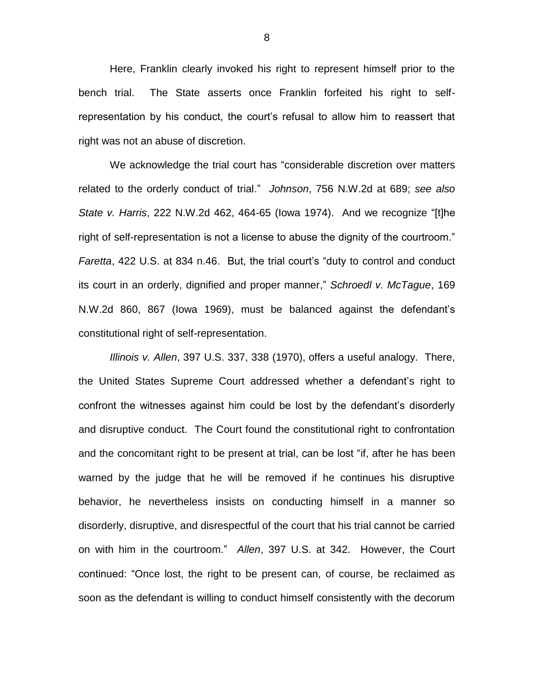Here, Franklin clearly invoked his right to represent himself prior to the bench trial. The State asserts once Franklin forfeited his right to selfrepresentation by his conduct, the court's refusal to allow him to reassert that right was not an abuse of discretion.

We acknowledge the trial court has "considerable discretion over matters related to the orderly conduct of trial." *Johnson*, 756 N.W.2d at 689; *see also State v. Harris*, 222 N.W.2d 462, 464-65 (Iowa 1974). And we recognize "[t]he right of self-representation is not a license to abuse the dignity of the courtroom." *Faretta*, 422 U.S. at 834 n.46. But, the trial court's "duty to control and conduct its court in an orderly, dignified and proper manner," *Schroedl v. McTague*, 169 N.W.2d 860, 867 (Iowa 1969), must be balanced against the defendant's constitutional right of self-representation.

*Illinois v. Allen*, 397 U.S. 337, 338 (1970), offers a useful analogy. There, the United States Supreme Court addressed whether a defendant's right to confront the witnesses against him could be lost by the defendant's disorderly and disruptive conduct. The Court found the constitutional right to confrontation and the concomitant right to be present at trial, can be lost "if, after he has been warned by the judge that he will be removed if he continues his disruptive behavior, he nevertheless insists on conducting himself in a manner so disorderly, disruptive, and disrespectful of the court that his trial cannot be carried on with him in the courtroom." *Allen*, 397 U.S. at 342. However, the Court continued: "Once lost, the right to be present can, of course, be reclaimed as soon as the defendant is willing to conduct himself consistently with the decorum

8